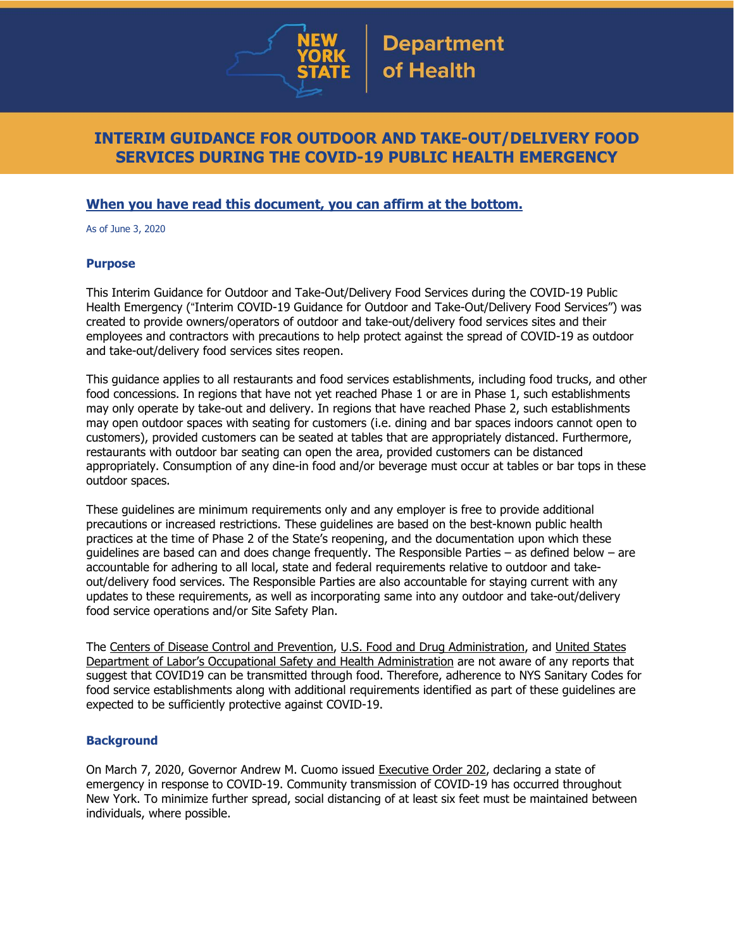

## **INTERIM GUIDANCE FOR OUTDOOR AND TAKE-OUT/DELIVERY FOOD SERVICES DURING THE COVID-19 PUBLIC HEALTH EMERGENCY**

## **When you have read this document, you can affirm at the bottom.**

As of June 3, 2020

#### **Purpose**

This Interim Guidance for Outdoor and Take-Out/Delivery Food Services during the COVID-19 Public Health Emergency ("Interim COVID-19 Guidance for Outdoor and Take-Out/Delivery Food Services") was created to provide owners/operators of outdoor and take-out/delivery food services sites and their employees and contractors with precautions to help protect against the spread of COVID-19 as outdoor and take-out/delivery food services sites reopen.

This guidance applies to all restaurants and food services establishments, including food trucks, and other food concessions. In regions that have not yet reached Phase 1 or are in Phase 1, such establishments may only operate by take-out and delivery. In regions that have reached Phase 2, such establishments may open outdoor spaces with seating for customers (i.e. dining and bar spaces indoors cannot open to customers), provided customers can be seated at tables that are appropriately distanced. Furthermore, restaurants with outdoor bar seating can open the area, provided customers can be distanced appropriately. Consumption of any dine-in food and/or beverage must occur at tables or bar tops in these outdoor spaces.

These guidelines are minimum requirements only and any employer is free to provide additional precautions or increased restrictions. These guidelines are based on the best-known public health practices at the time of Phase 2 of the State's reopening, and the documentation upon which these guidelines are based can and does change frequently. The Responsible Parties – as defined below – are accountable for adhering to all local, state and federal requirements relative to outdoor and takeout/delivery food services. The Responsible Parties are also accountable for staying current with any updates to these requirements, as well as incorporating same into any outdoor and take-out/delivery food service operations and/or Site Safety Plan.

The Centers of Disease Control and [Prevention,](https://www.cdc.gov/foodsafety/newsletter/food-safety-and-Coronavirus.html) U.S. Food and Drug [Administration,](https://www.fda.gov/food/food-safety-during-emergencies/food-safety-and-coronavirus-disease-2019-covid-19) and [United](https://www.osha.gov/Publications/OSHA3990.pdf) States Department of Labor's Occupational Safety and Health [Administration](https://www.osha.gov/Publications/OSHA3990.pdf) are not aware of any reports that suggest that COVID19 can be transmitted through food. Therefore, adherence to NYS Sanitary Codes for food service establishments along with additional requirements identified as part of these guidelines are expected to be sufficiently protective against COVID-19.

## **Background**

On March 7, 2020, Governor Andrew M. Cuomo issued [Executive](https://www.governor.ny.gov/news/no-202-declaring-disaster-emergency-state-new-york) Order 202, declaring a state of emergency in response to COVID-19. Community transmission of COVID-19 has occurred throughout New York. To minimize further spread, social distancing of at least six feet must be maintained between individuals, where possible.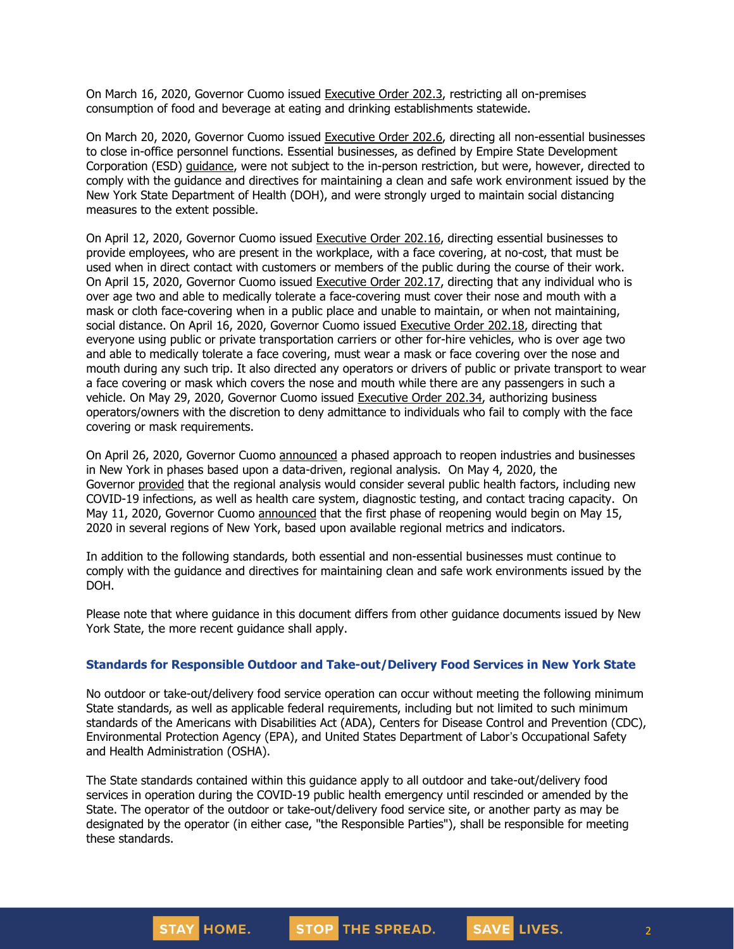On March 16, 2020, Governor Cuomo issued [Executive](https://www.governor.ny.gov/news/no-2023-continuing-temporary-suspension-and-modification-laws-relating-disaster-emergency) Order 202.3, restricting all on-premises consumption of food and beverage at eating and drinking establishments statewide.

On March 20, 2020, Governor Cuomo issued [Executive](https://www.governor.ny.gov/news/no-2026-continuing-temporary-suspension-and-modification-laws-relating-disaster-emergency) Order 202.6, directing all non-essential businesses to close in-office personnel functions. Essential businesses, as defined by Empire State Development Corporation (ESD) [guidance,](https://esd.ny.gov/guidance-executive-order-2026) were not subject to the in-person restriction, but were, however, directed to comply with the guidance and directives for maintaining a clean and safe work environment issued by the New York State Department of Health (DOH), and were strongly urged to maintain social distancing measures to the extent possible.

On April 12, 2020, Governor Cuomo issued [Executive](https://www.governor.ny.gov/news/no-20216-continuing-temporary-suspension-and-modification-laws-relating-disaster-emergency) Order 202.16, directing essential businesses to provide employees, who are present in the workplace, with a face covering, at no-cost, that must be used when in direct contact with customers or members of the public during the course of their work. On April 15, 2020, Governor Cuomo issued [Executive](https://www.governor.ny.gov/news/no-20217-continuing-temporary-suspension-and-modification-laws-relating-disaster-emergency) Order 202.17, directing that any individual who is over age two and able to medically tolerate a face-covering must cover their nose and mouth with a mask or cloth face-covering when in a public place and unable to maintain, or when not maintaining, social distance. On April 16, 2020, Governor Cuomo issued [Executive](https://www.governor.ny.gov/news/no-20218-continuing-temporary-suspension-and-modification-laws-relating-disaster-emergency) Order 202.18, directing that everyone using public or private transportation carriers or other for-hire vehicles, who is over age two and able to medically tolerate a face covering, must wear a mask or face covering over the nose and mouth during any such trip. It also directed any operators or drivers of public or private transport to wear a face covering or mask which covers the nose and mouth while there are any passengers in such a vehicle. On May 29, 2020, Governor Cuomo issued [Executive](https://www.governor.ny.gov/news/no-20234-continuing-temporary-suspension-and-modification-laws-relating-disaster-emergency) Order 202.34, authorizing business operators/owners with the discretion to deny admittance to individuals who fail to comply with the face covering or mask requirements.

On April 26, 2020, Governor Cuomo [announced](https://www.governor.ny.gov/news/amid-ongoing-covid-19-pandemic-governor-cuomo-outlines-phased-plan-re-open-new-york-starting) a phased approach to reopen industries and businesses in New York in phases based upon a data-driven, regional analysis. On May 4, 2020, the Governor [provided](https://www.governor.ny.gov/news/amid-ongoing-covid-19-pandemic-governor-cuomo-outlines-additional-guidelines-when-regions-can) that the regional analysis would consider several public health factors, including new COVID-19 infections, as well as health care system, diagnostic testing, and contact tracing capacity. On May 11, 2020, Governor Cuomo [announced](https://www.governor.ny.gov/news/amid-ongoing-covid-19-pandemic-governor-cuomo-announces-three-regions-new-york-state-ready) that the first phase of reopening would begin on May 15, 2020 in several regions of New York, based upon available regional metrics and indicators.

In addition to the following standards, both essential and non-essential businesses must continue to comply with the guidance and directives for maintaining clean and safe work environments issued by the DOH.

Please note that where guidance in this document differs from other guidance documents issued by New York State, the more recent guidance shall apply.

#### **Standards for Responsible Outdoor and Take-out/Delivery Food Services in New York State**

No outdoor or take-out/delivery food service operation can occur without meeting the following minimum State standards, as well as applicable federal requirements, including but not limited to such minimum standards of the Americans with Disabilities Act (ADA), Centers for Disease Control and Prevention (CDC), Environmental Protection Agency (EPA), and United States Department of Labor's Occupational Safety and Health Administration (OSHA).

The State standards contained within this guidance apply to all outdoor and take-out/delivery food services in operation during the COVID-19 public health emergency until rescinded or amended by the State. The operator of the outdoor or take-out/delivery food service site, or another party as may be designated by the operator (in either case, "the Responsible Parties"), shall be responsible for meeting these standards.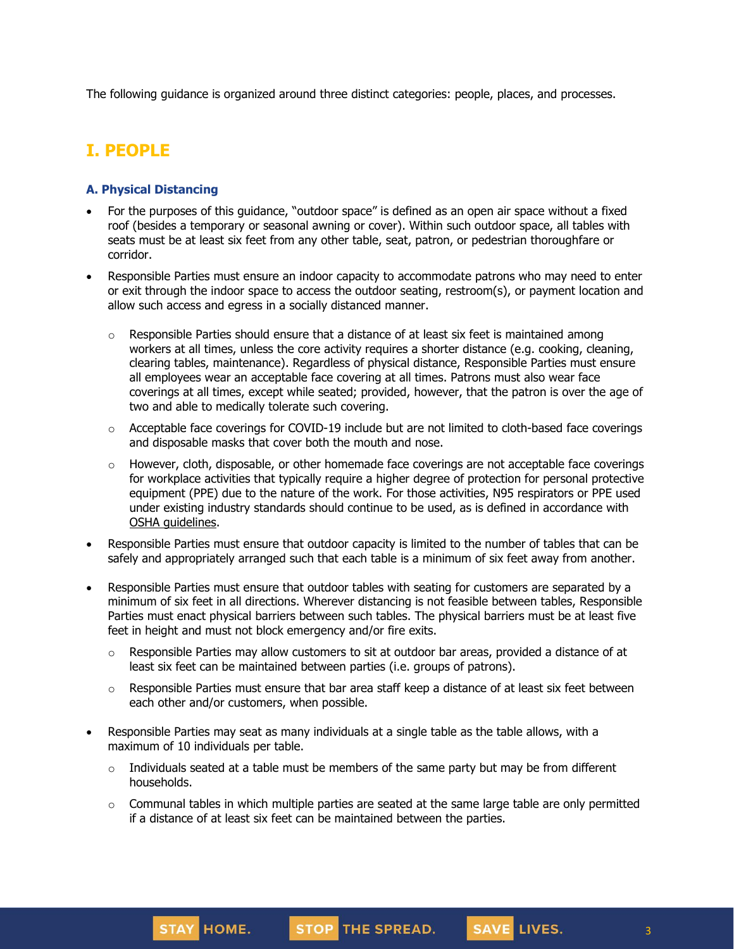The following guidance is organized around three distinct categories: people, places, and processes.

# **I. PEOPLE**

## **A. Physical Distancing**

- For the purposes of this guidance, "outdoor space" is defined as an open air space without a fixed roof (besides a temporary or seasonal awning or cover). Within such outdoor space, all tables with seats must be at least six feet from any other table, seat, patron, or pedestrian thoroughfare or corridor.
- Responsible Parties must ensure an indoor capacity to accommodate patrons who may need to enter or exit through the indoor space to access the outdoor seating, restroom(s), or payment location and allow such access and egress in a socially distanced manner.
	- $\circ$  Responsible Parties should ensure that a distance of at least six feet is maintained among workers at all times, unless the core activity requires a shorter distance (e.g. cooking, cleaning, clearing tables, maintenance). Regardless of physical distance, Responsible Parties must ensure all employees wear an acceptable face covering at all times. Patrons must also wear face coverings at all times, except while seated; provided, however, that the patron is over the age of two and able to medically tolerate such covering.
	- o Acceptable face coverings for COVID-19 include but are not limited to cloth-based face coverings and disposable masks that cover both the mouth and nose.
	- $\circ$  However, cloth, disposable, or other homemade face coverings are not acceptable face coverings for workplace activities that typically require a higher degree of protection for personal protective equipment (PPE) due to the nature of the work. For those activities, N95 respirators or PPE used under existing industry standards should continue to be used, as is defined in accordance with OSHA quidelines.
- Responsible Parties must ensure that outdoor capacity is limited to the number of tables that can be safely and appropriately arranged such that each table is a minimum of six feet away from another.
- Responsible Parties must ensure that outdoor tables with seating for customers are separated by a minimum of six feet in all directions. Wherever distancing is not feasible between tables, Responsible Parties must enact physical barriers between such tables. The physical barriers must be at least five feet in height and must not block emergency and/or fire exits.
	- o Responsible Parties may allow customers to sit at outdoor bar areas, provided a distance of at least six feet can be maintained between parties (i.e. groups of patrons).
	- $\circ$  Responsible Parties must ensure that bar area staff keep a distance of at least six feet between each other and/or customers, when possible.
- Responsible Parties may seat as many individuals at a single table as the table allows, with a maximum of 10 individuals per table.
	- $\circ$  Individuals seated at a table must be members of the same party but may be from different households.
	- $\circ$  Communal tables in which multiple parties are seated at the same large table are only permitted if a distance of at least six feet can be maintained between the parties.

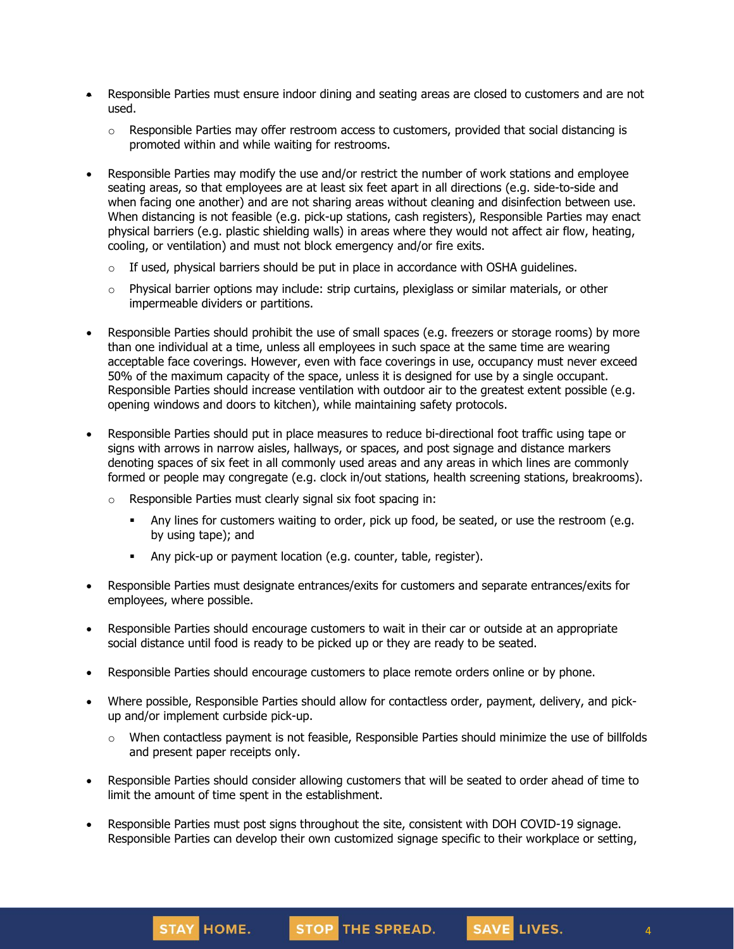- Responsible Parties must ensure indoor dining and seating areas are closed to customers and are not used.
	- $\circ$  Responsible Parties may offer restroom access to customers, provided that social distancing is promoted within and while waiting for restrooms.
- Responsible Parties may modify the use and/or restrict the number of work stations and employee seating areas, so that employees are at least six feet apart in all directions (e.g. side-to-side and when facing one another) and are not sharing areas without cleaning and disinfection between use. When distancing is not feasible (e.g. pick-up stations, cash registers), Responsible Parties may enact physical barriers (e.g. plastic shielding walls) in areas where they would not affect air flow, heating, cooling, or ventilation) and must not block emergency and/or fire exits.
	- $\circ$  If used, physical barriers should be put in place in accordance with OSHA [guidelines.](https://www.osha.gov/Publications/OSHA3990.pdf)
	- o Physical barrier options may include: strip curtains, plexiglass or similar materials, or other impermeable dividers or partitions.
- Responsible Parties should prohibit the use of small spaces (e.g. freezers or storage rooms) by more than one individual at a time, unless all employees in such space at the same time are wearing acceptable face coverings. However, even with face coverings in use, occupancy must never exceed 50% of the maximum capacity of the space, unless it is designed for use by a single occupant. Responsible Parties should increase ventilation with outdoor air to the greatest extent possible (e.g. opening windows and doors to kitchen), while maintaining safety protocols.
- Responsible Parties should put in place measures to reduce bi-directional foot traffic using tape or signs with arrows in narrow aisles, hallways, or spaces, and post signage and distance markers denoting spaces of six feet in all commonly used areas and any areas in which lines are commonly formed or people may congregate (e.g. clock in/out stations, health screening stations, breakrooms).
	- o Responsible Parties must clearly signal six foot spacing in:

STAY HOME.

- **Any lines for customers waiting to order, pick up food, be seated, or use the restroom (e.g.** by using tape); and
- **EXECT** Any pick-up or payment location (e.g. counter, table, register).
- Responsible Parties must designate entrances/exits for customers and separate entrances/exits for employees, where possible.
- Responsible Parties should encourage customers to wait in their car or outside at an appropriate social distance until food is ready to be picked up or they are ready to be seated.
- Responsible Parties should encourage customers to place remote orders online or by phone.
- Where possible, Responsible Parties should allow for contactless order, payment, delivery, and pickup and/or implement curbside pick-up.
	- $\circ$  When contactless payment is not feasible, Responsible Parties should minimize the use of billfolds and present paper receipts only.
- Responsible Parties should consider allowing customers that will be seated to order ahead of time to limit the amount of time spent in the establishment.
- Responsible Parties must post signs throughout the site, consistent with DOH COVID-19 signage. Responsible Parties can develop their own customized signage specific to their workplace or setting,

STOP THE SPREAD.

4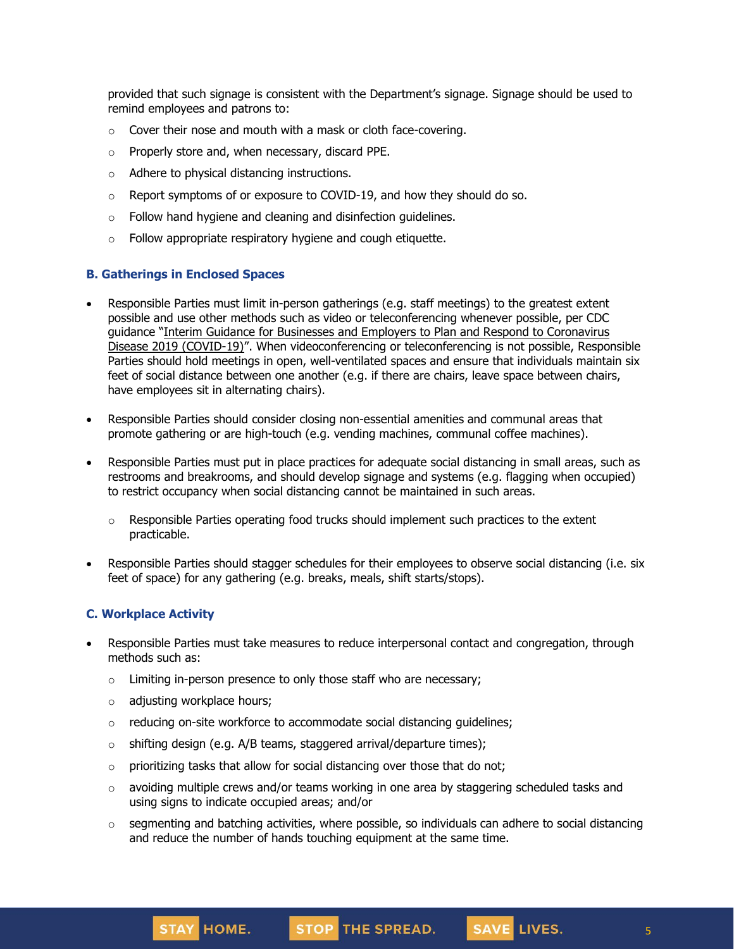provided that such signage is consistent with the Department's signage. Signage should be used to remind employees and patrons to:

- $\circ$  Cover their nose and mouth with a mask or cloth face-covering.
- o Properly store and, when necessary, discard PPE.
- o Adhere to physical distancing instructions.
- $\circ$  Report symptoms of or exposure to COVID-19, and how they should do so.
- o Follow hand hygiene and cleaning and disinfection guidelines.
- o Follow appropriate respiratory hygiene and cough etiquette.

#### **B. Gatherings in Enclosed Spaces**

- Responsible Parties must limit in-person gatherings (e.g. staff meetings) to the greatest extent possible and use other methods such as video or teleconferencing whenever possible, per CDC guidance "Interim Guidance for Businesses and Employers to Plan and Respond to [Coronavirus](https://www.cdc.gov/coronavirus/2019-ncov/community/guidance-business-response.html) Disease 2019 [\(COVID-19\)](https://www.cdc.gov/coronavirus/2019-ncov/community/guidance-business-response.html)". When videoconferencing or teleconferencing is not possible, Responsible Parties should hold meetings in open, well-ventilated spaces and ensure that individuals maintain six feet of social distance between one another (e.g. if there are chairs, leave space between chairs, have employees sit in alternating chairs).
- Responsible Parties should consider closing non-essential amenities and communal areas that promote gathering or are high-touch (e.g. vending machines, communal coffee machines).
- Responsible Parties must put in place practices for adequate social distancing in small areas, such as restrooms and breakrooms, and should develop signage and systems (e.g. flagging when occupied) to restrict occupancy when social distancing cannot be maintained in such areas.
	- $\circ$  Responsible Parties operating food trucks should implement such practices to the extent practicable.
- Responsible Parties should stagger schedules for their employees to observe social distancing (i.e. six feet of space) for any gathering (e.g. breaks, meals, shift starts/stops).

#### **C. Workplace Activity**

- Responsible Parties must take measures to reduce interpersonal contact and congregation, through methods such as:
	- o Limiting in-person presence to only those staff who are necessary;
	- o adjusting workplace hours;

STAY HOME.

- o reducing on-site workforce to accommodate social distancing guidelines;
- $\circ$  shifting design (e.g. A/B teams, staggered arrival/departure times);
- $\circ$  prioritizing tasks that allow for social distancing over those that do not;
- $\circ$  avoiding multiple crews and/or teams working in one area by staggering scheduled tasks and using signs to indicate occupied areas; and/or
- $\circ$  segmenting and batching activities, where possible, so individuals can adhere to social distancing and reduce the number of hands touching equipment at the same time.

STOP THE SPREAD.

5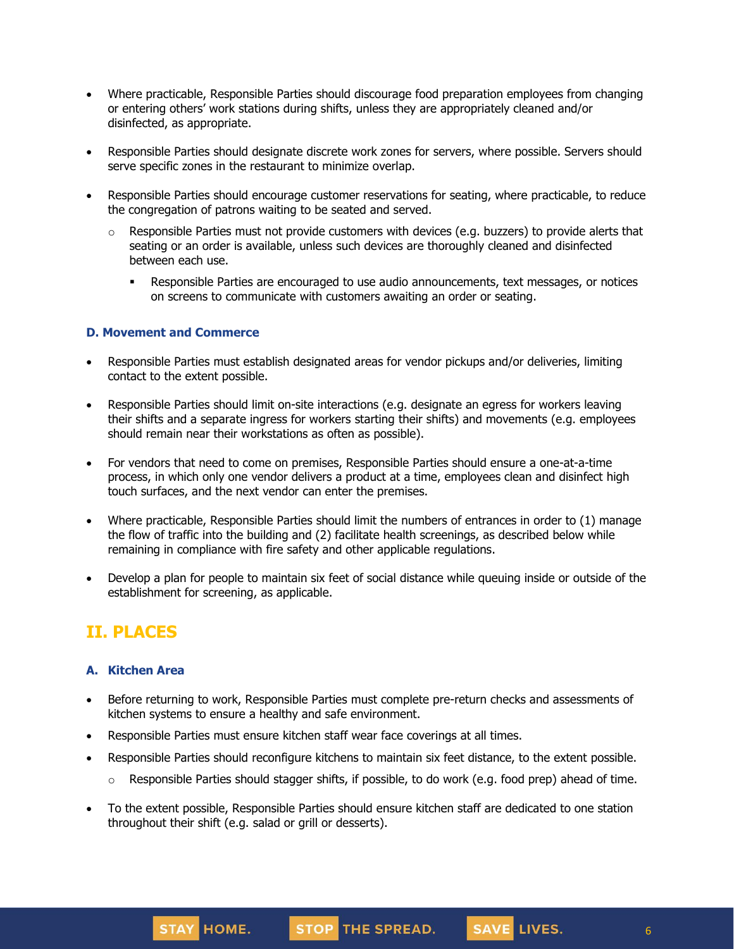- Where practicable, Responsible Parties should discourage food preparation employees from changing or entering others' work stations during shifts, unless they are appropriately cleaned and/or disinfected, as appropriate.
- Responsible Parties should designate discrete work zones for servers, where possible. Servers should serve specific zones in the restaurant to minimize overlap.
- Responsible Parties should encourage customer reservations for seating, where practicable, to reduce the congregation of patrons waiting to be seated and served.
	- $\circ$  Responsible Parties must not provide customers with devices (e.g. buzzers) to provide alerts that seating or an order is available, unless such devices are thoroughly cleaned and disinfected between each use.
		- **EXE** Responsible Parties are encouraged to use audio announcements, text messages, or notices on screens to communicate with customers awaiting an order or seating.

#### **D. Movement and Commerce**

- Responsible Parties must establish designated areas for vendor pickups and/or deliveries, limiting contact to the extent possible.
- Responsible Parties should limit on-site interactions (e.g. designate an egress for workers leaving their shifts and a separate ingress for workers starting their shifts) and movements (e.g. employees should remain near their workstations as often as possible).
- For vendors that need to come on premises, Responsible Parties should ensure a one-at-a-time process, in which only one vendor delivers a product at a time, employees clean and disinfect high touch surfaces, and the next vendor can enter the premises.
- Where practicable, Responsible Parties should limit the numbers of entrances in order to (1) manage the flow of traffic into the building and (2) facilitate health screenings, as described below while remaining in compliance with fire safety and other applicable regulations.
- Develop a plan for people to maintain six feet of social distance while queuing inside or outside of the establishment for screening, as applicable.

# **II. PLACES**

## **A. Kitchen Area**

STAY HOME.

- Before returning to work, Responsible Parties must complete pre-return checks and assessments of kitchen systems to ensure a healthy and safe environment.
- Responsible Parties must ensure kitchen staff wear face coverings at all times.
- Responsible Parties should reconfigure kitchens to maintain six feet distance, to the extent possible.
	- $\circ$  Responsible Parties should stagger shifts, if possible, to do work (e.g. food prep) ahead of time.

STOP THE SPREAD.

6

SAVE LIVES.

• To the extent possible, Responsible Parties should ensure kitchen staff are dedicated to one station throughout their shift (e.g. salad or grill or desserts).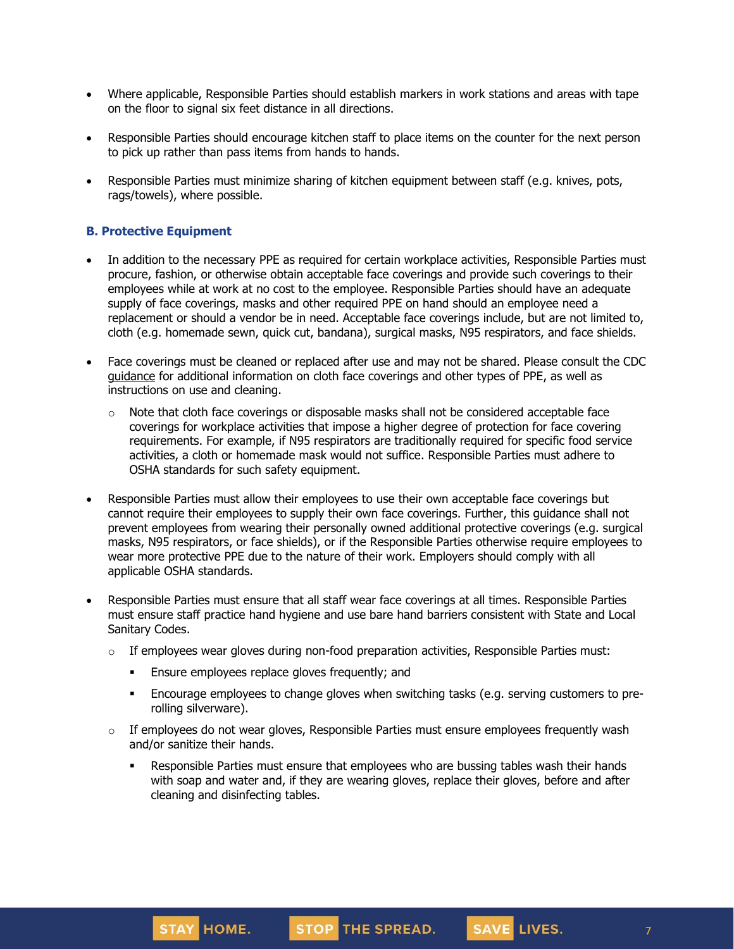- Where applicable, Responsible Parties should establish markers in work stations and areas with tape on the floor to signal six feet distance in all directions.
- Responsible Parties should encourage kitchen staff to place items on the counter for the next person to pick up rather than pass items from hands to hands.
- Responsible Parties must minimize sharing of kitchen equipment between staff (e.g. knives, pots, rags/towels), where possible.

## **B. Protective Equipment**

- In addition to the necessary PPE as required for certain workplace activities, Responsible Parties must procure, fashion, or otherwise obtain acceptable face coverings and provide such coverings to their employees while at work at no cost to the employee. Responsible Parties should have an adequate supply of face coverings, masks and other required PPE on hand should an employee need a replacement or should a vendor be in need. Acceptable face coverings include, but are not limited to, cloth (e.g. homemade sewn, quick cut, bandana), surgical masks, N95 respirators, and face shields.
- Face coverings must be cleaned or replaced after use and may not be shared. Please consult the CDC [guidance](https://www.cdc.gov/coronavirus/2019-ncov/community/guidance-business-response.html) for additional information on cloth face coverings and other types of PPE, as well as instructions on use and cleaning.
	- $\circ$  Note that cloth face coverings or disposable masks shall not be considered acceptable face coverings for workplace activities that impose a higher degree of protection for face covering requirements. For example, if N95 respirators are traditionally required for specific food service activities, a cloth or homemade mask would not suffice. Responsible Parties must adhere to OSHA standards for such safety equipment.
- Responsible Parties must allow their employees to use their own acceptable face coverings but cannot require their employees to supply their own face coverings. Further, this guidance shall not prevent employees from wearing their personally owned additional protective coverings (e.g. surgical masks, N95 respirators, or face shields), or if the Responsible Parties otherwise require employees to wear more protective PPE due to the nature of their work. Employers should comply with all applicable OSHA standards.
- Responsible Parties must ensure that all staff wear face coverings at all times. Responsible Parties must ensure staff practice hand hygiene and use bare hand barriers consistent with State and Local Sanitary Codes.
	- $\circ$  If employees wear gloves during non-food preparation activities, Responsible Parties must:
		- **Ensure employees replace gloves frequently; and**
		- Encourage employees to change gloves when switching tasks (e.g. serving customers to prerolling silverware).
	- $\circ$  If employees do not wear gloves, Responsible Parties must ensure employees frequently wash and/or sanitize their hands.
		- **Responsible Parties must ensure that employees who are bussing tables wash their hands** with soap and water and, if they are wearing gloves, replace their gloves, before and after cleaning and disinfecting tables.

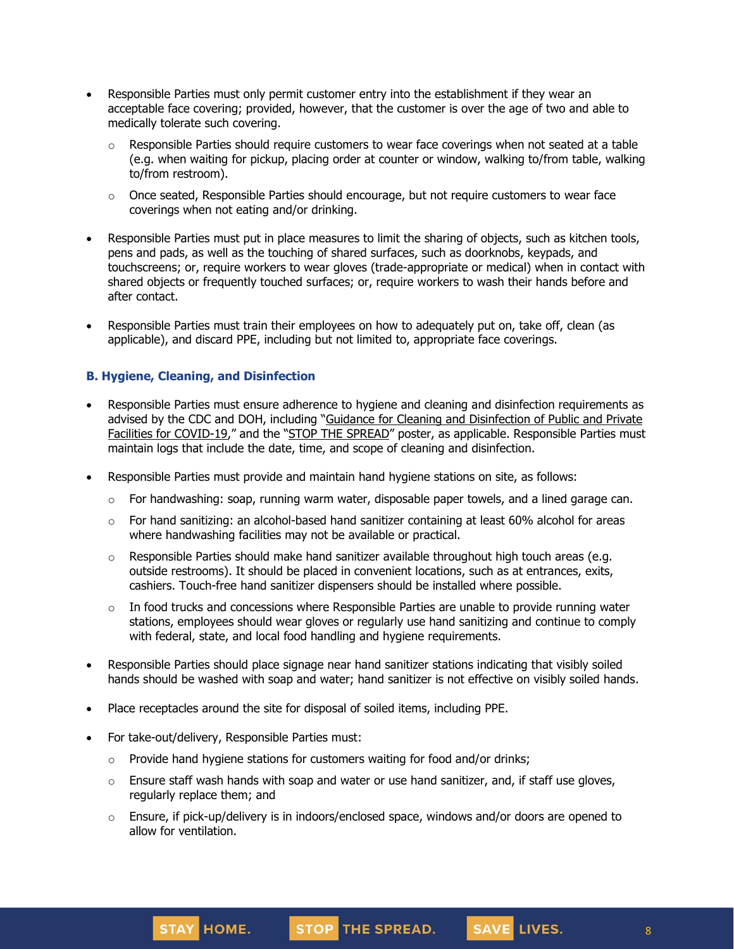- Responsible Parties must only permit customer entry into the establishment if they wear an acceptable face covering; provided, however, that the customer is over the age of two and able to medically tolerate such covering.
	- $\circ$  Responsible Parties should require customers to wear face coverings when not seated at a table (e.g. when waiting for pickup, placing order at counter or window, walking to/from table, walking to/from restroom).
	- $\circ$  Once seated, Responsible Parties should encourage, but not require customers to wear face coverings when not eating and/or drinking.
- Responsible Parties must put in place measures to limit the sharing of objects, such as kitchen tools, pens and pads, as well as the touching of shared surfaces, such as doorknobs, keypads, and touchscreens; or, require workers to wear gloves (trade-appropriate or medical) when in contact with shared objects or frequently touched surfaces; or, require workers to wash their hands before and after contact.
- Responsible Parties must train their employees on how to adequately put on, take off, clean (as applicable), and discard PPE, including but not limited to, appropriate face coverings.

## **B. Hygiene, Cleaning, and Disinfection**

- Responsible Parties must ensure adherence to hygiene and cleaning and disinfection requirements as advised by the CDC and DOH, including "Guidance for Cleaning and [Disinfection](https://coronavirus.health.ny.gov/system/files/documents/2020/03/cleaning_guidance_general_building.pdf) of Public and Private Facilities for [COVID-19](https://coronavirus.health.ny.gov/system/files/documents/2020/03/cleaning_guidance_general_building.pdf)," and the "STOP THE [SPREAD](https://coronavirus.health.ny.gov/system/files/documents/2020/04/13067_coronavirus_protectyourself_poster_042020.pdf)" poster, as applicable. Responsible Parties must maintain logs that include the date, time, and scope of cleaning and disinfection.
- Responsible Parties must provide and maintain hand hygiene stations on site, as follows:
	- $\circ$  For handwashing: soap, running warm water, disposable paper towels, and a lined garage can.
	- $\circ$  For hand sanitizing: an alcohol-based hand sanitizer containing at least 60% alcohol for areas where handwashing facilities may not be available or practical.
	- $\circ$  Responsible Parties should make hand sanitizer available throughout high touch areas (e.g. outside restrooms). It should be placed in convenient locations, such as at entrances, exits, cashiers. Touch-free hand sanitizer dispensers should be installed where possible.
	- $\circ$  In food trucks and concessions where Responsible Parties are unable to provide running water stations, employees should wear gloves or regularly use hand sanitizing and continue to comply with federal, state, and local food handling and hygiene requirements.
- Responsible Parties should place signage near hand sanitizer stations indicating that visibly soiled hands should be washed with soap and water; hand sanitizer is not effective on visibly soiled hands.
- Place receptacles around the site for disposal of soiled items, including PPE.
- For take-out/delivery, Responsible Parties must:
	- $\circ$  Provide hand hygiene stations for customers waiting for food and/or drinks;
	- $\circ$  Ensure staff wash hands with soap and water or use hand sanitizer, and, if staff use gloves, regularly replace them; and
	- $\circ$  Ensure, if pick-up/delivery is in indoors/enclosed space, windows and/or doors are opened to allow for ventilation.

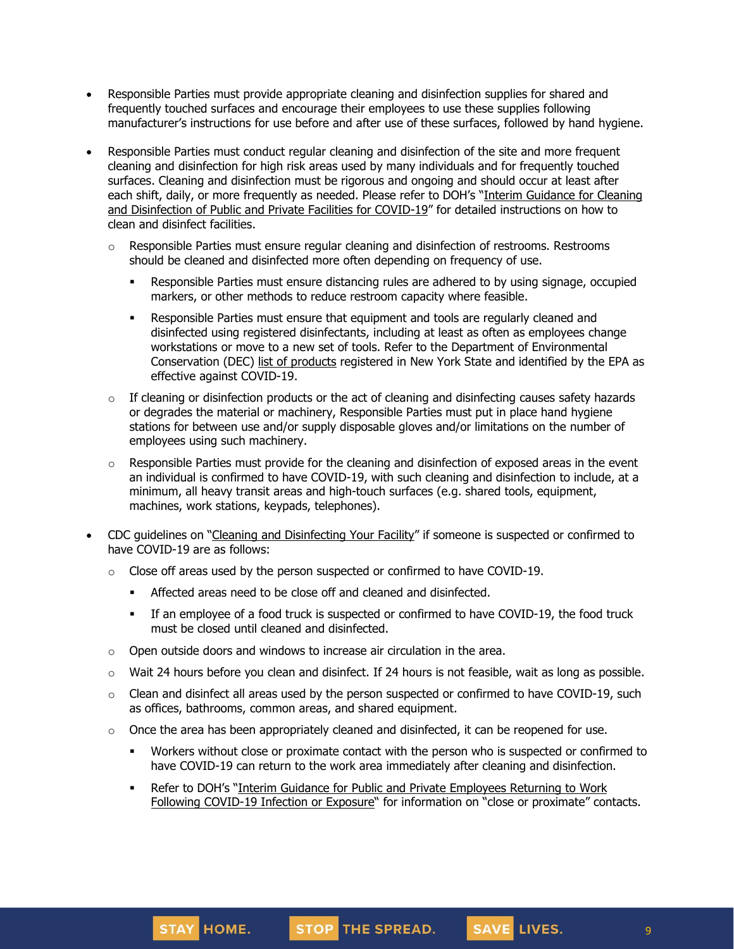- Responsible Parties must provide appropriate cleaning and disinfection supplies for shared and frequently touched surfaces and encourage their employees to use these supplies following manufacturer's instructions for use before and after use of these surfaces, followed by hand hygiene.
- Responsible Parties must conduct regular cleaning and disinfection of the site and more frequent cleaning and disinfection for high risk areas used by many individuals and for frequently touched surfaces. Cleaning and disinfection must be rigorous and ongoing and should occur at least after each shift, daily, or more frequently as needed. Please refer to DOH's "Interim [Guidance](https://coronavirus.health.ny.gov/system/files/documents/2020/03/cleaning_guidance_general_building.pdf) for Cleaning and [Disinfection](https://coronavirus.health.ny.gov/system/files/documents/2020/03/cleaning_guidance_general_building.pdf) of Public and Private Facilities for COVID-19" for detailed instructions on how to clean and disinfect facilities.
	- $\circ$  Responsible Parties must ensure regular cleaning and disinfection of restrooms. Restrooms should be cleaned and disinfected more often depending on frequency of use.
		- **Responsible Parties must ensure distancing rules are adhered to by using signage, occupied** markers, or other methods to reduce restroom capacity where feasible.
		- **Responsible Parties must ensure that equipment and tools are regularly cleaned and** disinfected using registered disinfectants, including at least as often as employees change workstations or move to a new set of tools. Refer to the Department of Environmental Conservation (DEC) list of [products](http://www.dec.ny.gov/docs/materials_minerals_pdf/covid19.pdf) registered in New York State and identified by the EPA as effective against COVID-19.
	- $\circ$  If cleaning or disinfection products or the act of cleaning and disinfecting causes safety hazards or degrades the material or machinery, Responsible Parties must put in place hand hygiene stations for between use and/or supply disposable gloves and/or limitations on the number of employees using such machinery.
	- $\circ$  Responsible Parties must provide for the cleaning and disinfection of exposed areas in the event an individual is confirmed to have COVID-19, with such cleaning and disinfection to include, at a minimum, all heavy transit areas and high-touch surfaces (e.g. shared tools, equipment, machines, work stations, keypads, telephones).
- CDC guidelines on "Cleaning and [Disinfecting](https://www.cdc.gov/coronavirus/2019-ncov/community/disinfecting-building-facility.html) Your Facility" if someone is suspected or confirmed to have COVID-19 are as follows:
	- $\circ$  Close off areas used by the person suspected or confirmed to have COVID-19.
		- Affected areas need to be close off and cleaned and disinfected.
		- If an employee of a food truck is suspected or confirmed to have COVID-19, the food truck must be closed until cleaned and disinfected.
	- $\circ$  Open outside doors and windows to increase air circulation in the area.
	- o Wait 24 hours before you clean and disinfect. If 24 hours is not feasible, wait as long as possible.
	- $\circ$  Clean and disinfect all areas used by the person suspected or confirmed to have COVID-19, such as offices, bathrooms, common areas, and shared equipment.
	- $\circ$  Once the area has been appropriately cleaned and disinfected, it can be reopened for use.
		- Workers without close or proximate contact with the person who is suspected or confirmed to have COVID-19 can return to the work area immediately after cleaning and disinfection.
		- Refer to DOH's "Interim Guidance for Public and Private [Employees](https://coronavirus.health.ny.gov/system/files/documents/2020/06/doh_covid19_publicprivateemployeereturntowork_053120.pdf) Returning to Work Following [COVID-19](https://coronavirus.health.ny.gov/system/files/documents/2020/06/doh_covid19_publicprivateemployeereturntowork_053120.pdf) Infection or Exposure" for information on "close or proximate" contacts.



SAVE LIVES.

9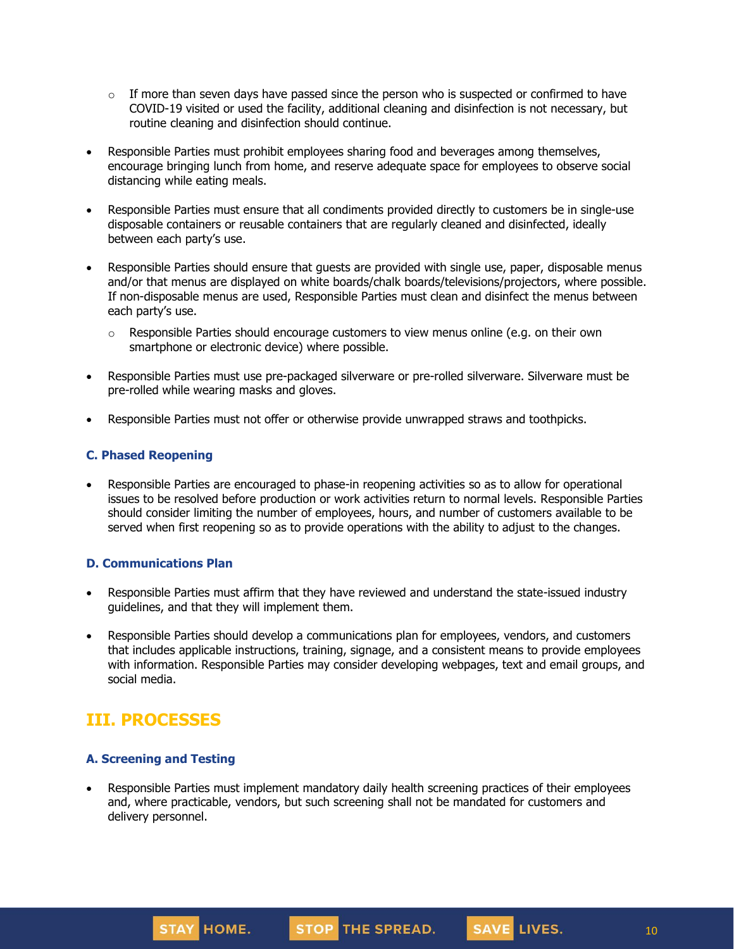- $\circ$  If more than seven days have passed since the person who is suspected or confirmed to have COVID-19 visited or used the facility, additional cleaning and disinfection is not necessary, but routine cleaning and disinfection should continue.
- Responsible Parties must prohibit employees sharing food and beverages among themselves, encourage bringing lunch from home, and reserve adequate space for employees to observe social distancing while eating meals.
- Responsible Parties must ensure that all condiments provided directly to customers be in single-use disposable containers or reusable containers that are regularly cleaned and disinfected, ideally between each party's use.
- Responsible Parties should ensure that guests are provided with single use, paper, disposable menus and/or that menus are displayed on white boards/chalk boards/televisions/projectors, where possible. If non-disposable menus are used, Responsible Parties must clean and disinfect the menus between each party's use.
	- $\circ$  Responsible Parties should encourage customers to view menus online (e.g. on their own smartphone or electronic device) where possible.
- Responsible Parties must use pre-packaged silverware or pre-rolled silverware. Silverware must be pre-rolled while wearing masks and gloves.
- Responsible Parties must not offer or otherwise provide unwrapped straws and toothpicks.

#### **C. Phased Reopening**

• Responsible Parties are encouraged to phase-in reopening activities so as to allow for operational issues to be resolved before production or work activities return to normal levels. Responsible Parties should consider limiting the number of employees, hours, and number of customers available to be served when first reopening so as to provide operations with the ability to adjust to the changes.

#### **D. Communications Plan**

- Responsible Parties must affirm that they have reviewed and understand the state-issued industry guidelines, and that they will implement them.
- Responsible Parties should develop a communications plan for employees, vendors, and customers that includes applicable instructions, training, signage, and a consistent means to provide employees with information. Responsible Parties may consider developing webpages, text and email groups, and social media.

## **III. PROCESSES**

## **A. Screening and Testing**

• Responsible Parties must implement mandatory daily health screening practices of their employees and, where practicable, vendors, but such screening shall not be mandated for customers and delivery personnel.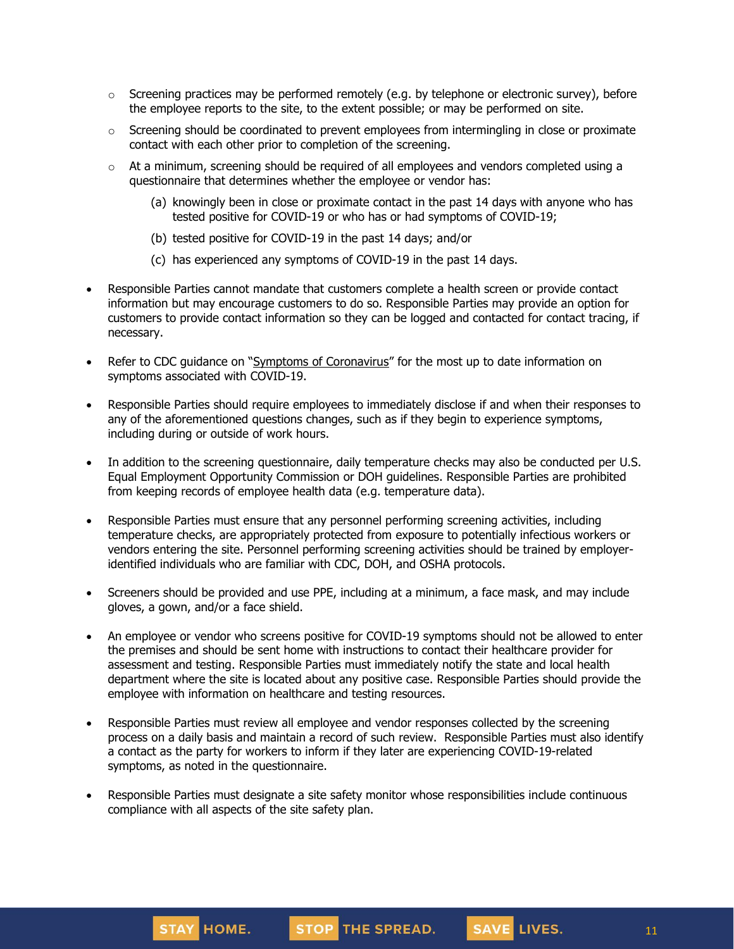- $\circ$  Screening practices may be performed remotely (e.g. by telephone or electronic survey), before the employee reports to the site, to the extent possible; or may be performed on site.
- $\circ$  Screening should be coordinated to prevent employees from intermingling in close or proximate contact with each other prior to completion of the screening.
- $\circ$  At a minimum, screening should be required of all employees and vendors completed using a questionnaire that determines whether the employee or vendor has:
	- (a) knowingly been in close or proximate contact in the past 14 days with anyone who has tested positive for COVID-19 or who has or had symptoms of COVID-19;
	- (b) tested positive for COVID-19 in the past 14 days; and/or
	- (c) has experienced any symptoms of COVID-19 in the past 14 days.
- Responsible Parties cannot mandate that customers complete a health screen or provide contact information but may encourage customers to do so. Responsible Parties may provide an option for customers to provide contact information so they can be logged and contacted for contact tracing, if necessary.
- Refer to CDC guidance on "Symptoms of [Coronavirus](https://www.cdc.gov/coronavirus/2019-ncov/symptoms-testing/symptoms.html)" for the most up to date information on symptoms associated with COVID-19.
- Responsible Parties should require employees to immediately disclose if and when their responses to any of the aforementioned questions changes, such as if they begin to experience symptoms, including during or outside of work hours.
- In addition to the screening questionnaire, daily temperature checks may also be conducted per U.S. Equal Employment Opportunity Commission or DOH guidelines. Responsible Parties are prohibited from keeping records of employee health data (e.g. temperature data).
- Responsible Parties must ensure that any personnel performing screening activities, including temperature checks, are appropriately protected from exposure to potentially infectious workers or vendors entering the site. Personnel performing screening activities should be trained by employeridentified individuals who are familiar with CDC, DOH, and OSHA protocols.
- Screeners should be provided and use PPE, including at a minimum, a face mask, and may include gloves, a gown, and/or a face shield.
- An employee or vendor who screens positive for COVID-19 symptoms should not be allowed to enter the premises and should be sent home with instructions to contact their healthcare provider for assessment and testing. Responsible Parties must immediately notify the state and local health department where the site is located about any positive case. Responsible Parties should provide the employee with information on healthcare and testing resources.
- Responsible Parties must review all employee and vendor responses collected by the screening process on a daily basis and maintain a record of such review. Responsible Parties must also identify a contact as the party for workers to inform if they later are experiencing COVID-19-related symptoms, as noted in the questionnaire.
- Responsible Parties must designate a site safety monitor whose responsibilities include continuous compliance with all aspects of the site safety plan.



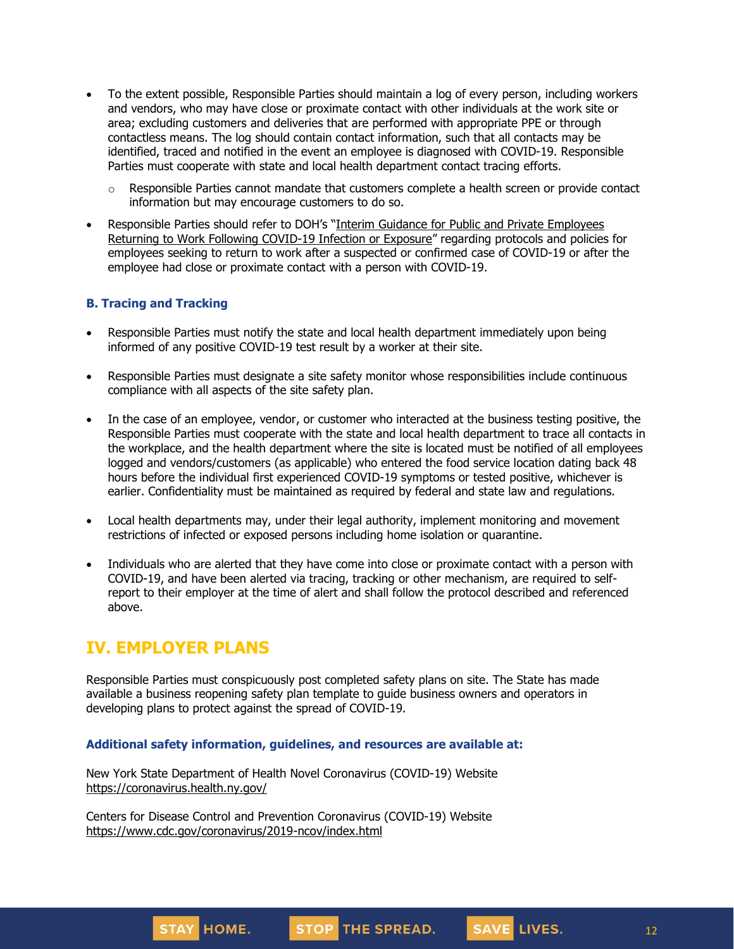- To the extent possible, Responsible Parties should maintain a log of every person, including workers and vendors, who may have close or proximate contact with other individuals at the work site or area; excluding customers and deliveries that are performed with appropriate PPE or through contactless means. The log should contain contact information, such that all contacts may be identified, traced and notified in the event an employee is diagnosed with COVID-19. Responsible Parties must cooperate with state and local health department contact tracing efforts.
	- $\circ$  Responsible Parties cannot mandate that customers complete a health screen or provide contact information but may encourage customers to do so.
- Responsible Parties should refer to DOH's "Interim Guidance for Public and Private [Employees](https://coronavirus.health.ny.gov/system/files/documents/2020/06/doh_covid19_publicprivateemployeereturntowork_053120.pdf) Returning to Work Following [COVID-19](https://coronavirus.health.ny.gov/system/files/documents/2020/06/doh_covid19_publicprivateemployeereturntowork_053120.pdf) Infection or Exposure" regarding protocols and policies for employees seeking to return to work after a suspected or confirmed case of COVID-19 or after the employee had close or proximate contact with a person with COVID-19.

## **B. Tracing and Tracking**

- Responsible Parties must notify the state and local health department immediately upon being informed of any positive COVID-19 test result by a worker at their site.
- Responsible Parties must designate a site safety monitor whose responsibilities include continuous compliance with all aspects of the site safety plan.
- In the case of an employee, vendor, or customer who interacted at the business testing positive, the Responsible Parties must cooperate with the state and local health department to trace all contacts in the workplace, and the health department where the site is located must be notified of all employees logged and vendors/customers (as applicable) who entered the food service location dating back 48 hours before the individual first experienced COVID-19 symptoms or tested positive, whichever is earlier. Confidentiality must be maintained as required by federal and state law and regulations.
- Local health departments may, under their legal authority, implement monitoring and movement restrictions of infected or exposed persons including home isolation or quarantine.
- Individuals who are alerted that they have come into close or proximate contact with a person with COVID-19, and have been alerted via tracing, tracking or other mechanism, are required to selfreport to their employer at the time of alert and shall follow the protocol described and referenced above.

## **IV. EMPLOYER PLANS**

Responsible Parties must conspicuously post completed safety plans on site. The State has made available a business reopening safety plan template to guide business owners and operators in developing plans to protect against the spread of COVID-19.

#### **Additional safety information, guidelines, and resources are available at:**

New York State Department of Health Novel Coronavirus (COVID-19) Website <https://coronavirus.health.ny.gov/>

Centers for Disease Control and Prevention Coronavirus (COVID-19) Website <https://www.cdc.gov/coronavirus/2019-ncov/index.html>

12